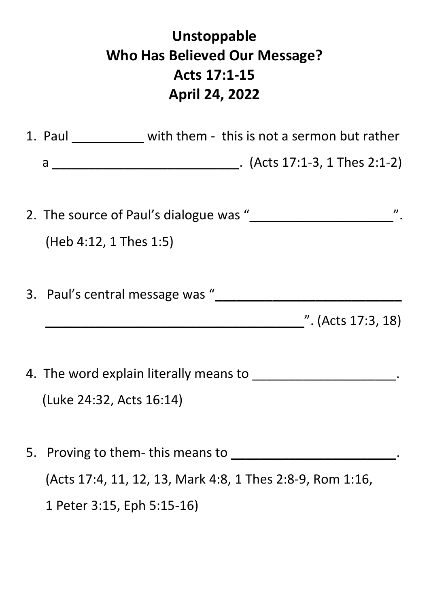## **Unstoppable Who Has Believed Our Message? Acts 17:1-15 April 24, 2022**

|  | 1. Paul ____________ with them - this is not a sermon but rather |
|--|------------------------------------------------------------------|
|  |                                                                  |
|  |                                                                  |
|  |                                                                  |
|  | $(Heb 4:12, 1$ Thes 1:5)                                         |
|  |                                                                  |
|  | 3. Paul's central message was "                                  |
|  | $\frac{1}{2}$ (Acts 17:3, 18)                                    |
|  |                                                                  |
|  |                                                                  |
|  | (Luke 24:32, Acts 16:14)                                         |
|  |                                                                  |
|  | 5. Proving to them- this means to _____                          |
|  | (Acts 17:4, 11, 12, 13, Mark 4:8, 1 Thes 2:8-9, Rom 1:16,        |
|  | 1 Peter 3:15, Eph 5:15-16)                                       |